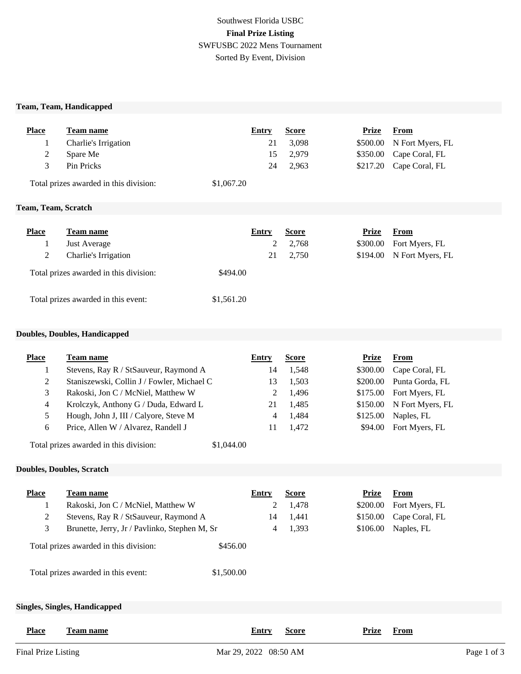## Southwest Florida USBC **Final Prize Listing** SWFUSBC 2022 Mens Tournament Sorted By Event, Division

#### **Team, Team, Handicapped**

|    | <b>Place</b> | Team name                              | Entry      | <b>Score</b> | Prize | <b>From</b>               |  |
|----|--------------|----------------------------------------|------------|--------------|-------|---------------------------|--|
|    |              | Charlie's Irrigation                   | 21         | 3,098        |       | \$500.00 N Fort Myers, FL |  |
|    | 2            | Spare Me                               | 15         | 2,979        |       | \$350.00 Cape Coral, FL   |  |
|    | 3            | Pin Pricks                             | 24         | 2,963        |       | \$217.20 Cape Coral, FL   |  |
|    |              | Total prizes awarded in this division: | \$1,067.20 |              |       |                           |  |
| -- | ____         | ______                                 |            |              |       |                           |  |

### **Team, Team, Scratch**

| <b>Place</b> | Team name                              | Entry      | <b>Score</b> | Prize    | From                       |
|--------------|----------------------------------------|------------|--------------|----------|----------------------------|
|              | <b>Just Average</b>                    |            | 2,768        | \$300.00 | Fort Myers, FL             |
| 2            | Charlie's Irrigation                   | 21         | 2,750        |          | $$194.00$ N Fort Myers, FL |
|              | Total prizes awarded in this division: | \$494.00   |              |          |                            |
|              | Total prizes awarded in this event:    | \$1,561.20 |              |          |                            |

### **Doubles, Doubles, Handicapped**

| <b>Place</b>   | Team name                                     |            | <b>Entry</b> | <b>Score</b> | <b>Prize</b> | <b>From</b>      |
|----------------|-----------------------------------------------|------------|--------------|--------------|--------------|------------------|
| 1              | Stevens, Ray R / StSauveur, Raymond A         |            | 14           | 1,548        | \$300.00     | Cape Coral, FL   |
| 2              | Staniszewski, Collin J / Fowler, Michael C    |            | 13           | 1,503        | \$200.00     | Punta Gorda, FL  |
| 3              | Rakoski, Jon C / McNiel, Matthew W            |            | 2            | 1,496        | \$175.00     | Fort Myers, FL   |
| 4              | Krolczyk, Anthony G / Duda, Edward L          |            | 21           | 1,485        | \$150.00     | N Fort Myers, FL |
| 5              | Hough, John J, III / Calyore, Steve M         |            | 4            | 1,484        | \$125.00     | Naples, FL       |
| 6              | Price, Allen W / Alvarez, Randell J           |            | 11           | 1,472        | \$94.00      | Fort Myers, FL   |
|                | Total prizes awarded in this division:        | \$1,044.00 |              |              |              |                  |
|                | <b>Doubles, Doubles, Scratch</b>              |            |              |              |              |                  |
|                |                                               |            |              |              |              |                  |
| <b>Place</b>   | <b>Team name</b>                              |            | <b>Entry</b> | <b>Score</b> | <b>Prize</b> | <b>From</b>      |
| 1              | Rakoski, Jon C / McNiel, Matthew W            |            | 2            | 1,478        | \$200.00     | Fort Myers, FL   |
| $\overline{c}$ | Stevens, Ray R / StSauveur, Raymond A         |            | 14           | 1,441        | \$150.00     | Cape Coral, FL   |
| 3              | Brunette, Jerry, Jr / Pavlinko, Stephen M, Sr |            | 4            | 1,393        | \$106.00     | Naples, FL       |
|                | Total prizes awarded in this division:        | \$456.00   |              |              |              |                  |
|                | Total prizes awarded in this event:           | \$1,500.00 |              |              |              |                  |
|                | <b>Singles, Singles, Handicapped</b>          |            |              |              |              |                  |
| <b>Place</b>   | <b>Team name</b>                              |            | Entry        | <b>Score</b> | <b>Prize</b> | From             |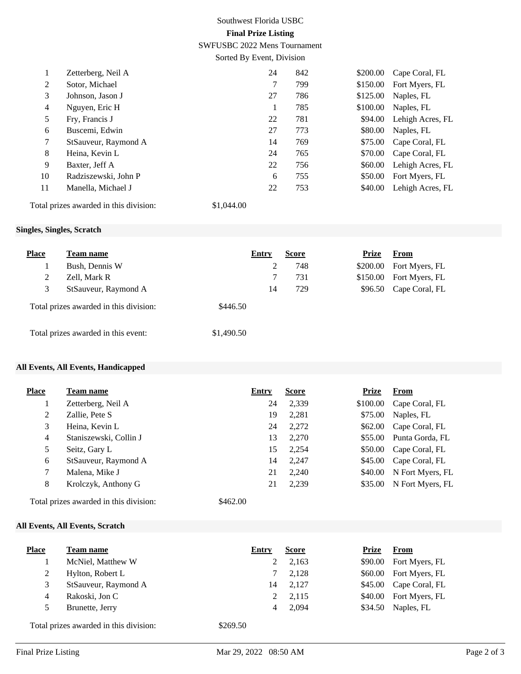# Southwest Florida USBC **Final Prize Listing**

SWFUSBC 2022 Mens Tournament

Sorted By Event, Division

| $\bf{l}$ | Zetterberg, Neil A   | 24 | 842 | \$200.00 | Cape Coral, FL   |
|----------|----------------------|----|-----|----------|------------------|
| 2        | Sotor, Michael       | 7  | 799 | \$150.00 | Fort Myers, FL   |
| 3        | Johnson, Jason J     | 27 | 786 | \$125.00 | Naples, FL       |
| 4        | Nguyen, Eric H       |    | 785 | \$100.00 | Naples, FL       |
| 5        | Fry, Francis J       | 22 | 781 | \$94.00  | Lehigh Acres, FL |
| 6        | Buscemi, Edwin       | 27 | 773 | \$80.00  | Naples, FL       |
| 7        | StSauveur, Raymond A | 14 | 769 | \$75.00  | Cape Coral, FL   |
| 8        | Heina, Kevin L       | 24 | 765 | \$70.00  | Cape Coral, FL   |
| 9        | Baxter, Jeff A       | 22 | 756 | \$60.00  | Lehigh Acres, FL |
| 10       | Radziszewski, John P | 6  | 755 | \$50.00  | Fort Myers, FL   |
| 11       | Manella, Michael J   | 22 | 753 | \$40.00  | Lehigh Acres, FL |
|          |                      |    |     |          |                  |

Total prizes awarded in this division: \$1,044.00

## **Singles, Singles, Scratch**

| <b>Place</b> | <b>Team name</b>                       |            | Entry | <b>Score</b> | <b>Prize</b> | From                   |
|--------------|----------------------------------------|------------|-------|--------------|--------------|------------------------|
|              | Bush, Dennis W                         |            |       | 748          | \$200.00     | Fort Myers, FL         |
| 2            | Zell, Mark R                           |            |       | 731          | \$150.00     | Fort Myers, FL         |
| 3            | StSauveur, Raymond A                   |            | 14    | 729          |              | \$96.50 Cape Coral, FL |
|              | Total prizes awarded in this division: | \$446.50   |       |              |              |                        |
|              | Total prizes awarded in this event:    | \$1,490.50 |       |              |              |                        |

### **All Events, All Events, Handicapped**

| <b>Place</b>   | Team name              | <b>Entry</b> | <b>Score</b> | <b>Prize</b> | <b>From</b>      |
|----------------|------------------------|--------------|--------------|--------------|------------------|
|                | Zetterberg, Neil A     | 24           | 2,339        | \$100.00     | Cape Coral, FL   |
| $\overline{2}$ | Zallie, Pete S         | 19           | 2,281        | \$75.00      | Naples, FL       |
| 3              | Heina, Kevin L         | 24           | 2,272        | \$62.00      | Cape Coral, FL   |
| 4              | Staniszewski, Collin J | 13           | 2,270        | \$55.00      | Punta Gorda, FL  |
| 5              | Seitz, Gary L          | 15           | 2,254        | \$50.00      | Cape Coral, FL   |
| 6              | StSauveur, Raymond A   | 14           | 2,247        | \$45.00      | Cape Coral, FL   |
| 7              | Malena, Mike J         | 21           | 2,240        | \$40.00      | N Fort Myers, FL |
| 8              | Krolczyk, Anthony G    | 21           | 2,239        | \$35.00      | N Fort Myers, FL |

Total prizes awarded in this division: \$462.00

## **All Events, All Events, Scratch**

| <b>Place</b> | <b>Team name</b>                       | Entry    | <b>Score</b> | Prize   | From                   |
|--------------|----------------------------------------|----------|--------------|---------|------------------------|
|              | McNiel, Matthew W                      |          | 2,163        | \$90.00 | Fort Myers, FL         |
| 2            | Hylton, Robert L                       |          | 2,128        |         | \$60.00 Fort Myers, FL |
| 3            | StSauveur, Raymond A                   | 14       | 2,127        | \$45.00 | Cape Coral, FL         |
| 4            | Rakoski, Jon C                         |          | 2,115        | \$40.00 | Fort Myers, FL         |
|              | Brunette, Jerry                        | 4        | 2.094        | \$34.50 | Naples, FL             |
|              | Total prizes awarded in this division: | \$269.50 |              |         |                        |